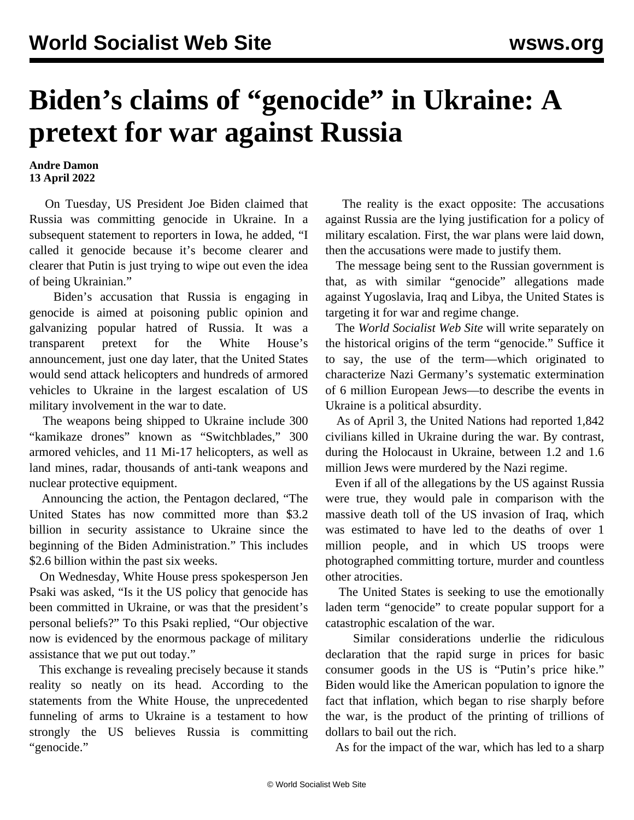## **Biden's claims of "genocide" in Ukraine: A pretext for war against Russia**

## **Andre Damon 13 April 2022**

 On Tuesday, US President Joe Biden claimed that Russia was committing genocide in Ukraine. In a subsequent statement to reporters in Iowa, he added, "I called it genocide because it's become clearer and clearer that Putin is just trying to wipe out even the idea of being Ukrainian."

 Biden's accusation that Russia is engaging in genocide is aimed at poisoning public opinion and galvanizing popular hatred of Russia. It was a transparent pretext for the White House's announcement, just one day later, that the United States would send attack helicopters and hundreds of armored vehicles to Ukraine in the largest escalation of US military involvement in the war to date.

 The weapons being shipped to Ukraine include 300 "kamikaze drones" known as "Switchblades," 300 armored vehicles, and 11 Mi-17 helicopters, as well as land mines, radar, thousands of anti-tank weapons and nuclear protective equipment.

 Announcing the action, the Pentagon declared, "The United States has now committed more than \$3.2 billion in security assistance to Ukraine since the beginning of the Biden Administration." This includes \$2.6 billion within the past six weeks.

 On Wednesday, White House press spokesperson Jen Psaki was asked, "Is it the US policy that genocide has been committed in Ukraine, or was that the president's personal beliefs?" To this Psaki replied, "Our objective now is evidenced by the enormous package of military assistance that we put out today."

 This exchange is revealing precisely because it stands reality so neatly on its head. According to the statements from the White House, the unprecedented funneling of arms to Ukraine is a testament to how strongly the US believes Russia is committing "genocide."

 The reality is the exact opposite: The accusations against Russia are the lying justification for a policy of military escalation. First, the war plans were laid down, then the accusations were made to justify them.

 The message being sent to the Russian government is that, as with similar "genocide" allegations made against Yugoslavia, Iraq and Libya, the United States is targeting it for war and regime change.

 The *World Socialist Web Site* will write separately on the historical origins of the term "genocide." Suffice it to say, the use of the term—which originated to characterize Nazi Germany's systematic extermination of 6 million European Jews—to describe the events in Ukraine is a political absurdity.

 As of April 3, the United Nations had reported 1,842 civilians killed in Ukraine during the war. By contrast, during the Holocaust in Ukraine, between 1.2 and 1.6 million Jews were murdered by the Nazi regime.

 Even if all of the allegations by the US against Russia were true, they would pale in comparison with the massive death toll of the US invasion of Iraq, which was estimated to have led to the deaths of over 1 million people, and in which US troops were photographed committing torture, murder and countless other atrocities.

 The United States is seeking to use the emotionally laden term "genocide" to create popular support for a catastrophic escalation of the war.

 Similar considerations underlie the ridiculous declaration that the rapid surge in prices for basic consumer goods in the US is "Putin's price hike." Biden would like the American population to ignore the fact that inflation, which began to rise sharply before the war, is the product of the printing of trillions of dollars to bail out the rich.

As for the impact of the war, which has led to a sharp